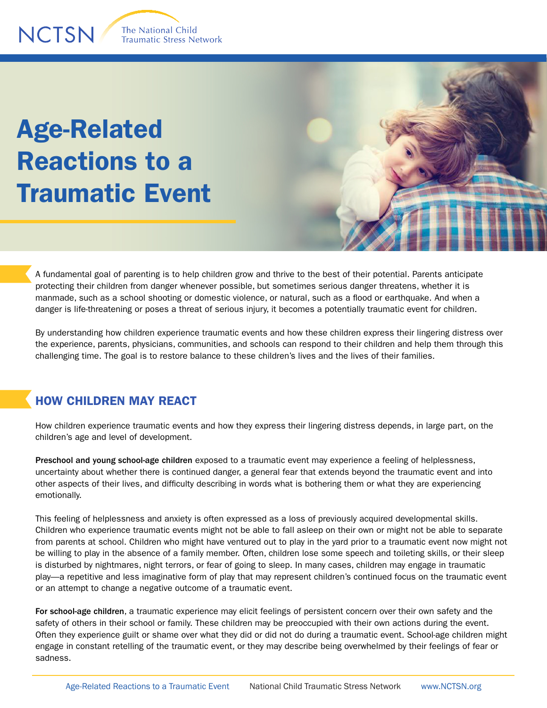## Age-Related Reactions to a Traumatic Event



A fundamental goal of parenting is to help children grow and thrive to the best of their potential. Parents anticipate protecting their children from danger whenever possible, but sometimes serious danger threatens, whether it is manmade, such as a school shooting or domestic violence, or natural, such as a flood or earthquake. And when a danger is life-threatening or poses a threat of serious injury, it becomes a potentially traumatic event for children.

By understanding how children experience traumatic events and how these children express their lingering distress over the experience, parents, physicians, communities, and schools can respond to their children and help them through this challenging time. The goal is to restore balance to these children's lives and the lives of their families.

## HOW CHILDREN MAY REACT

How children experience traumatic events and how they express their lingering distress depends, in large part, on the children's age and level of development.

Preschool and young school-age children exposed to a traumatic event may experience a feeling of helplessness, uncertainty about whether there is continued danger, a general fear that extends beyond the traumatic event and into other aspects of their lives, and difficulty describing in words what is bothering them or what they are experiencing emotionally.

This feeling of helplessness and anxiety is often expressed as a loss of previously acquired developmental skills. Children who experience traumatic events might not be able to fall asleep on their own or might not be able to separate from parents at school. Children who might have ventured out to play in the yard prior to a traumatic event now might not be willing to play in the absence of a family member. Often, children lose some speech and toileting skills, or their sleep is disturbed by nightmares, night terrors, or fear of going to sleep. In many cases, children may engage in traumatic play—a repetitive and less imaginative form of play that may represent children's continued focus on the traumatic event or an attempt to change a negative outcome of a traumatic event.

For school-age children, a traumatic experience may elicit feelings of persistent concern over their own safety and the safety of others in their school or family. These children may be preoccupied with their own actions during the event. Often they experience guilt or shame over what they did or did not do during a traumatic event. School-age children might engage in constant retelling of the traumatic event, or they may describe being overwhelmed by their feelings of fear or sadness.